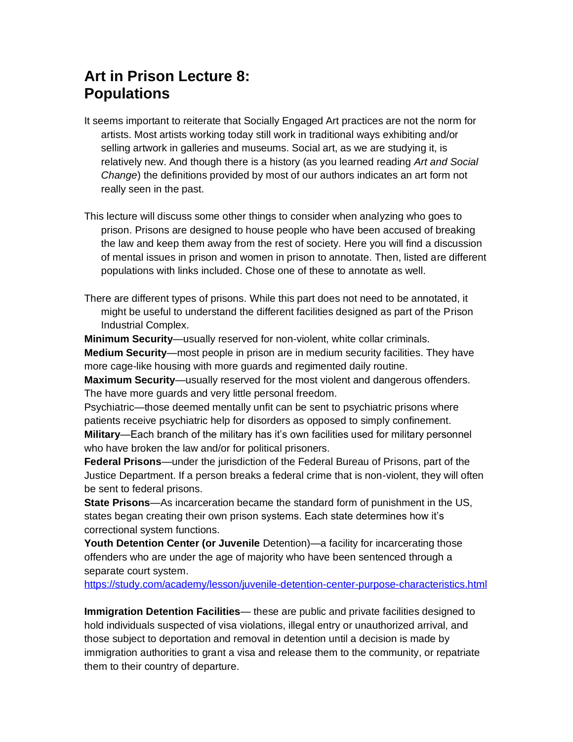# **Art in Prison Lecture 8: Populations**

- It seems important to reiterate that Socially Engaged Art practices are not the norm for artists. Most artists working today still work in traditional ways exhibiting and/or selling artwork in galleries and museums. Social art, as we are studying it, is relatively new. And though there is a history (as you learned reading *Art and Social Change*) the definitions provided by most of our authors indicates an art form not really seen in the past.
- This lecture will discuss some other things to consider when analyzing who goes to prison. Prisons are designed to house people who have been accused of breaking the law and keep them away from the rest of society. Here you will find a discussion of mental issues in prison and women in prison to annotate. Then, listed are different populations with links included. Chose one of these to annotate as well.
- There are different types of prisons. While this part does not need to be annotated, it might be useful to understand the different facilities designed as part of the Prison Industrial Complex.

**Minimum Security**—usually reserved for non-violent, white collar criminals. **Medium Security**—most people in prison are in medium security facilities. They have more cage-like housing with more guards and regimented daily routine.

**Maximum Security**—usually reserved for the most violent and dangerous offenders. The have more guards and very little personal freedom.

Psychiatric—those deemed mentally unfit can be sent to psychiatric prisons where patients receive psychiatric help for disorders as opposed to simply confinement.

**Military**—Each branch of the military has it's own facilities used for military personnel who have broken the law and/or for political prisoners.

**Federal Prisons**—under the jurisdiction of the Federal Bureau of Prisons, part of the Justice Department. If a person breaks a federal crime that is non-violent, they will often be sent to federal prisons.

**State Prisons**—As incarceration became the standard form of punishment in the US, states began creating their own prison systems. Each state determines how it's correctional system functions.

**Youth Detention Center (or Juvenile** Detention)—a facility for incarcerating those offenders who are under the age of majority who have been sentenced through a separate court system.

<https://study.com/academy/lesson/juvenile-detention-center-purpose-characteristics.html>

**Immigration Detention Facilities**— these are public and private facilities designed to hold individuals suspected of visa violations, illegal entry or unauthorized arrival, and those subject to deportation and removal in detention until a decision is made by immigration authorities to grant a visa and release them to the community, or repatriate them to their country of departure.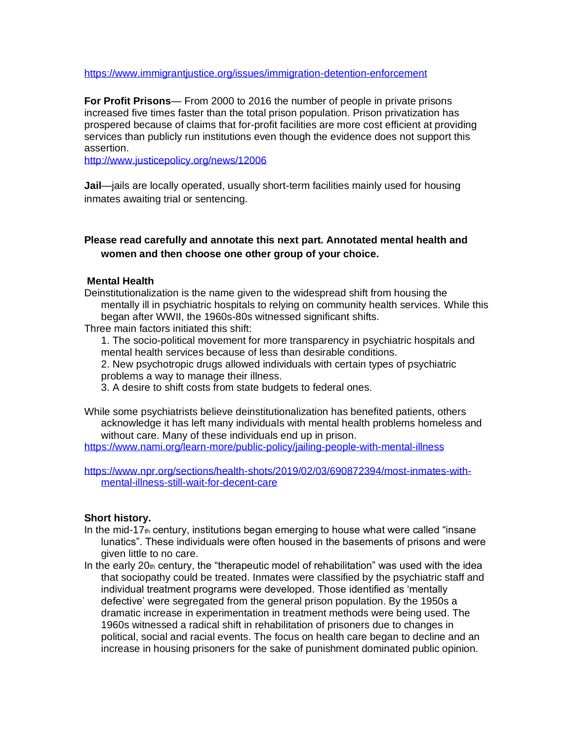<https://www.immigrantjustice.org/issues/immigration-detention-enforcement>

**For Profit Prisons**— From 2000 to 2016 the number of people in private prisons increased five times faster than the total prison population. Prison privatization has prospered because of claims that for-profit facilities are more cost efficient at providing services than publicly run institutions even though the evidence does not support this assertion.

<http://www.justicepolicy.org/news/12006>

**Jail**—jails are locally operated, usually short-term facilities mainly used for housing inmates awaiting trial or sentencing.

# **Please read carefully and annotate this next part. Annotated mental health and women and then choose one other group of your choice.**

## **Mental Health**

Deinstitutionalization is the name given to the widespread shift from housing the mentally ill in psychiatric hospitals to relying on community health services. While this began after WWII, the 1960s-80s witnessed significant shifts.

Three main factors initiated this shift:

1. The socio-political movement for more transparency in psychiatric hospitals and mental health services because of less than desirable conditions.

2. New psychotropic drugs allowed individuals with certain types of psychiatric problems a way to manage their illness.

3. A desire to shift costs from state budgets to federal ones.

While some psychiatrists believe deinstitutionalization has benefited patients, others acknowledge it has left many individuals with mental health problems homeless and without care. Many of these individuals end up in prison.

<https://www.nami.org/learn-more/public-policy/jailing-people-with-mental-illness>

[https://www.npr.org/sections/health-shots/2019/02/03/690872394/most-inmates-with](https://www.npr.org/sections/health-shots/2019/02/03/690872394/most-inmates-with-mental-illness-still-wait-for-decent-care)[mental-illness-still-wait-for-decent-care](https://www.npr.org/sections/health-shots/2019/02/03/690872394/most-inmates-with-mental-illness-still-wait-for-decent-care)

## **Short history.**

- In the mid-17 $<sub>th</sub>$  century, institutions began emerging to house what were called "insane"</sub> lunatics". These individuals were often housed in the basements of prisons and were given little to no care.
- In the early  $20<sub>th</sub>$  century, the "therapeutic model of rehabilitation" was used with the idea that sociopathy could be treated. Inmates were classified by the psychiatric staff and individual treatment programs were developed. Those identified as 'mentally defective' were segregated from the general prison population. By the 1950s a dramatic increase in experimentation in treatment methods were being used. The 1960s witnessed a radical shift in rehabilitation of prisoners due to changes in political, social and racial events. The focus on health care began to decline and an increase in housing prisoners for the sake of punishment dominated public opinion.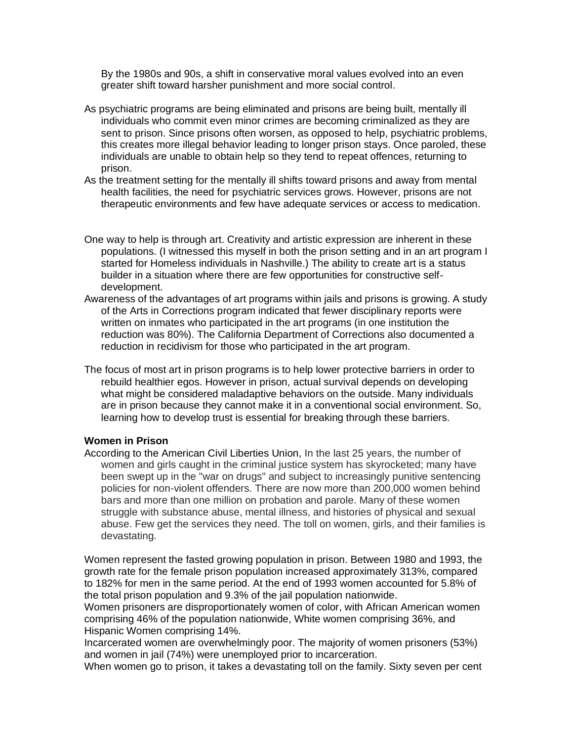By the 1980s and 90s, a shift in conservative moral values evolved into an even greater shift toward harsher punishment and more social control.

- As psychiatric programs are being eliminated and prisons are being built, mentally ill individuals who commit even minor crimes are becoming criminalized as they are sent to prison. Since prisons often worsen, as opposed to help, psychiatric problems, this creates more illegal behavior leading to longer prison stays. Once paroled, these individuals are unable to obtain help so they tend to repeat offences, returning to prison.
- As the treatment setting for the mentally ill shifts toward prisons and away from mental health facilities, the need for psychiatric services grows. However, prisons are not therapeutic environments and few have adequate services or access to medication.
- One way to help is through art. Creativity and artistic expression are inherent in these populations. (I witnessed this myself in both the prison setting and in an art program I started for Homeless individuals in Nashville.) The ability to create art is a status builder in a situation where there are few opportunities for constructive selfdevelopment.
- Awareness of the advantages of art programs within jails and prisons is growing. A study of the Arts in Corrections program indicated that fewer disciplinary reports were written on inmates who participated in the art programs (in one institution the reduction was 80%). The California Department of Corrections also documented a reduction in recidivism for those who participated in the art program.
- The focus of most art in prison programs is to help lower protective barriers in order to rebuild healthier egos. However in prison, actual survival depends on developing what might be considered maladaptive behaviors on the outside. Many individuals are in prison because they cannot make it in a conventional social environment. So, learning how to develop trust is essential for breaking through these barriers.

#### **Women in Prison**

According to the American Civil Liberties Union, In the last 25 years, the number of women and girls caught in the criminal justice system has skyrocketed; many have been swept up in the "war on drugs" and subject to increasingly punitive sentencing policies for non-violent offenders. There are now more than 200,000 women behind bars and more than one million on probation and parole. Many of these women struggle with substance abuse, mental illness, and histories of physical and sexual abuse. Few get the services they need. The toll on women, girls, and their families is devastating.

Women represent the fasted growing population in prison. Between 1980 and 1993, the growth rate for the female prison population increased approximately 313%, compared to 182% for men in the same period. At the end of 1993 women accounted for 5.8% of the total prison population and 9.3% of the jail population nationwide.

Women prisoners are disproportionately women of color, with African American women comprising 46% of the population nationwide, White women comprising 36%, and Hispanic Women comprising 14%.

Incarcerated women are overwhelmingly poor. The majority of women prisoners (53%) and women in jail (74%) were unemployed prior to incarceration.

When women go to prison, it takes a devastating toll on the family. Sixty seven per cent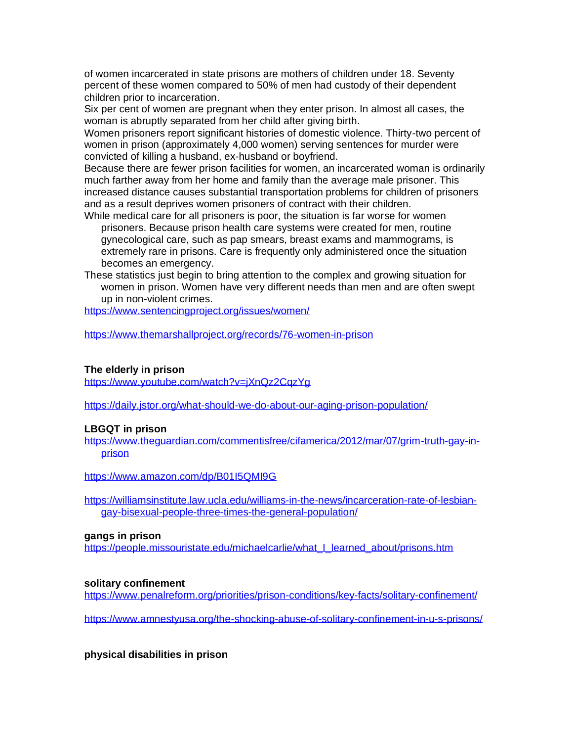of women incarcerated in state prisons are mothers of children under 18. Seventy percent of these women compared to 50% of men had custody of their dependent children prior to incarceration.

Six per cent of women are pregnant when they enter prison. In almost all cases, the woman is abruptly separated from her child after giving birth.

Women prisoners report significant histories of domestic violence. Thirty-two percent of women in prison (approximately 4,000 women) serving sentences for murder were convicted of killing a husband, ex-husband or boyfriend.

Because there are fewer prison facilities for women, an incarcerated woman is ordinarily much farther away from her home and family than the average male prisoner. This increased distance causes substantial transportation problems for children of prisoners and as a result deprives women prisoners of contract with their children.

While medical care for all prisoners is poor, the situation is far worse for women prisoners. Because prison health care systems were created for men, routine gynecological care, such as pap smears, breast exams and mammograms, is extremely rare in prisons. Care is frequently only administered once the situation becomes an emergency.

These statistics just begin to bring attention to the complex and growing situation for women in prison. Women have very different needs than men and are often swept up in non-violent crimes.

<https://www.sentencingproject.org/issues/women/>

<https://www.themarshallproject.org/records/76-women-in-prison>

#### **The elderly in prison**

https://www.youtube.com/watch?v=jXnQz2CqzYq

<https://daily.jstor.org/what-should-we-do-about-our-aging-prison-population/>

## **LBGQT in prison**

[https://www.theguardian.com/commentisfree/cifamerica/2012/mar/07/grim-truth-gay-in](https://www.theguardian.com/commentisfree/cifamerica/2012/mar/07/grim-truth-gay-in-prison)[prison](https://www.theguardian.com/commentisfree/cifamerica/2012/mar/07/grim-truth-gay-in-prison)

<https://www.amazon.com/dp/B01I5QMI9G>

[https://williamsinstitute.law.ucla.edu/williams-in-the-news/incarceration-rate-of-lesbian](https://williamsinstitute.law.ucla.edu/williams-in-the-news/incarceration-rate-of-lesbian-gay-bisexual-people-three-times-the-general-population/)[gay-bisexual-people-three-times-the-general-population/](https://williamsinstitute.law.ucla.edu/williams-in-the-news/incarceration-rate-of-lesbian-gay-bisexual-people-three-times-the-general-population/)

#### **gangs in prison**

[https://people.missouristate.edu/michaelcarlie/what\\_I\\_learned\\_about/prisons.htm](https://people.missouristate.edu/michaelcarlie/what_I_learned_about/prisons.htm)

#### **solitary confinement**

<https://www.penalreform.org/priorities/prison-conditions/key-facts/solitary-confinement/>

<https://www.amnestyusa.org/the-shocking-abuse-of-solitary-confinement-in-u-s-prisons/>

**physical disabilities in prison**